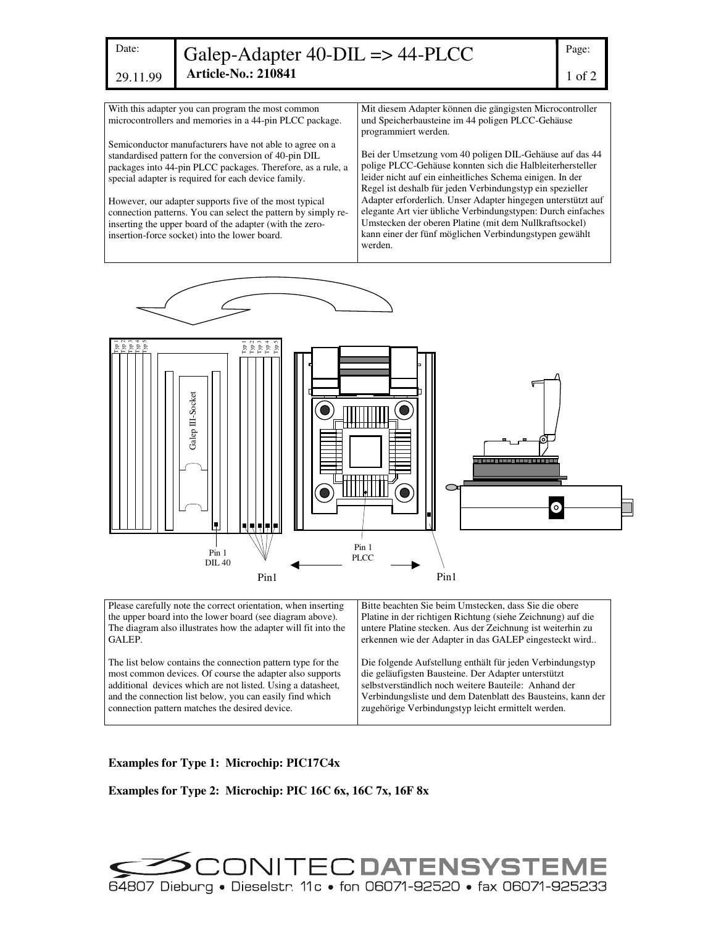| I<br>.<br>۰.<br>w<br>۰.<br>۰<br>×<br>× |  |
|----------------------------------------|--|

29.11.99

Galep-Adapter 40-DIL => 44-PLCC **Article-No.: 210841**

With this adapter you can program the most common microcontrollers and memories in a 44-pin PLCC package.

Semiconductor manufacturers have not able to agree on a standardised pattern for the conversion of 40-pin DIL packages into 44-pin PLCC packages. Therefore, as a rule, a special adapter is required for each device family.

However, our adapter supports five of the most typical connection patterns. You can select the pattern by simply reinserting the upper board of the adapter (with the zeroinsertion-force socket) into the lower board.

Mit diesem Adapter können die gängigsten Microcontroller und Speicherbausteine im 44 poligen PLCC-Gehäuse programmiert werden.

Bei der Umsetzung vom 40 poligen DIL-Gehäuse auf das 44 polige PLCC-Gehäuse konnten sich die Halbleiterhersteller leider nicht auf ein einheitliches Schema einigen. In der Regel ist deshalb für jeden Verbindungstyp ein spezieller Adapter erforderlich. Unser Adapter hingegen unterstützt auf elegante Art vier übliche Verbindungstypen: Durch einfaches Umstecken der oberen Platine (mit dem Nullkraftsockel) kann einer der fünf möglichen Verbindungstypen gewählt werden.



the upper board into the lower board (see diagram above). The diagram also illustrates how the adapter will fit into the GALEP. The list below contains the connection pattern type for the most common devices. Of course the adapter also supports additional devices which are not listed. Using a datasheet, and the connection list below, you can easily find which connection pattern matches the desired device. Platine in der richtigen Richtung (siehe Zeichnung) auf die untere Platine stecken. Aus der Zeichnung ist weiterhin zu erkennen wie der Adapter in das GALEP eingesteckt wird.. Die folgende Aufstellung enthält für jeden Verbindungstyp die geläufigsten Bausteine. Der Adapter unterstützt selbstverständlich noch weitere Bauteile: Anhand der Verbindungsliste und dem Datenblatt des Bausteins, kann der zugehörige Verbindungstyp leicht ermittelt werden.

## **Examples for Type 1: Microchip: PIC17C4x**

**Examples for Type 2: Microchip: PIC 16C 6x, 16C 7x, 16F 8x**